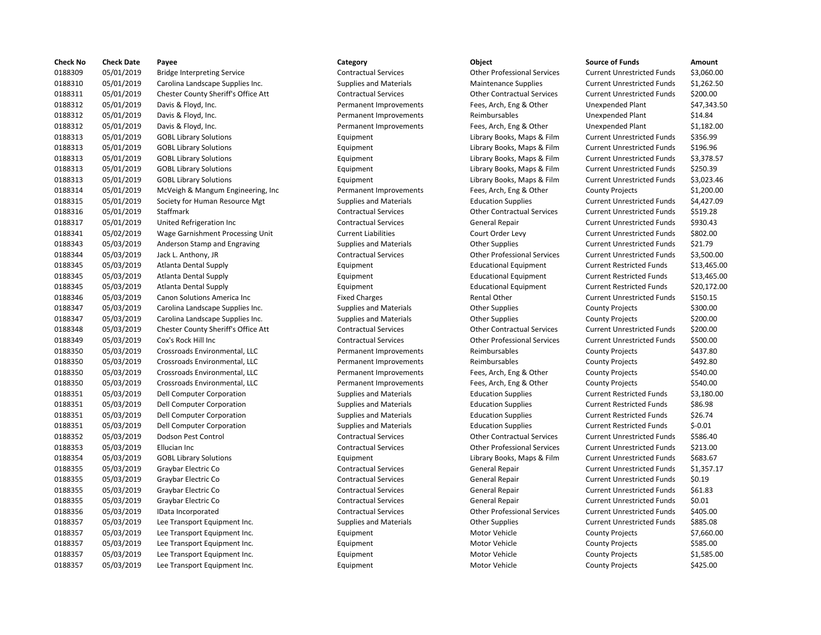| <b>Check No</b> | <b>Check Date</b> | Payee                                      | Category                      | Object                             | <b>Source of Funds</b>            | Amount      |
|-----------------|-------------------|--------------------------------------------|-------------------------------|------------------------------------|-----------------------------------|-------------|
| 0188309         | 05/01/2019        | <b>Bridge Interpreting Service</b>         | <b>Contractual Services</b>   | <b>Other Professional Services</b> | <b>Current Unrestricted Funds</b> | \$3,060.00  |
| 0188310         | 05/01/2019        | Carolina Landscape Supplies Inc.           | <b>Supplies and Materials</b> | <b>Maintenance Supplies</b>        | <b>Current Unrestricted Funds</b> | \$1,262.50  |
| 0188311         | 05/01/2019        | <b>Chester County Sheriff's Office Att</b> | <b>Contractual Services</b>   | <b>Other Contractual Services</b>  | <b>Current Unrestricted Funds</b> | \$200.00    |
| 0188312         | 05/01/2019        | Davis & Floyd, Inc.                        | Permanent Improvements        | Fees, Arch, Eng & Other            | <b>Unexpended Plant</b>           | \$47,343.50 |
| 0188312         | 05/01/2019        | Davis & Floyd, Inc.                        | Permanent Improvements        | Reimbursables                      | <b>Unexpended Plant</b>           | \$14.84     |
| 0188312         | 05/01/2019        | Davis & Floyd, Inc.                        | Permanent Improvements        | Fees, Arch, Eng & Other            | <b>Unexpended Plant</b>           | \$1,182.00  |
| 0188313         | 05/01/2019        | <b>GOBL Library Solutions</b>              | Equipment                     | Library Books, Maps & Film         | <b>Current Unrestricted Funds</b> | \$356.99    |
| 0188313         | 05/01/2019        | <b>GOBL Library Solutions</b>              | Equipment                     | Library Books, Maps & Film         | <b>Current Unrestricted Funds</b> | \$196.96    |
| 0188313         | 05/01/2019        | <b>GOBL Library Solutions</b>              | Equipment                     | Library Books, Maps & Film         | <b>Current Unrestricted Funds</b> | \$3,378.57  |
| 0188313         | 05/01/2019        | <b>GOBL Library Solutions</b>              | Equipment                     | Library Books, Maps & Film         | <b>Current Unrestricted Funds</b> | \$250.39    |
| 0188313         | 05/01/2019        | <b>GOBL Library Solutions</b>              | Equipment                     | Library Books, Maps & Film         | <b>Current Unrestricted Funds</b> | \$3,023.46  |
| 0188314         | 05/01/2019        | McVeigh & Mangum Engineering, Inc.         | Permanent Improvements        | Fees, Arch, Eng & Other            | <b>County Projects</b>            | \$1,200.00  |
| 0188315         | 05/01/2019        | Society for Human Resource Mgt             | <b>Supplies and Materials</b> | <b>Education Supplies</b>          | <b>Current Unrestricted Funds</b> | \$4,427.09  |
| 0188316         | 05/01/2019        | Staffmark                                  | <b>Contractual Services</b>   | <b>Other Contractual Services</b>  | <b>Current Unrestricted Funds</b> | \$519.28    |
| 0188317         | 05/01/2019        | United Refrigeration Inc                   | <b>Contractual Services</b>   | General Repair                     | <b>Current Unrestricted Funds</b> | \$930.43    |
| 0188341         | 05/02/2019        | Wage Garnishment Processing Unit           | <b>Current Liabilities</b>    | Court Order Levy                   | <b>Current Unrestricted Funds</b> | \$802.00    |
| 0188343         | 05/03/2019        | Anderson Stamp and Engraving               | <b>Supplies and Materials</b> | <b>Other Supplies</b>              | <b>Current Unrestricted Funds</b> | \$21.79     |
| 0188344         | 05/03/2019        | Jack L. Anthony, JR                        | <b>Contractual Services</b>   | <b>Other Professional Services</b> | <b>Current Unrestricted Funds</b> | \$3,500.00  |
| 0188345         | 05/03/2019        | Atlanta Dental Supply                      | Equipment                     | <b>Educational Equipment</b>       | <b>Current Restricted Funds</b>   | \$13,465.00 |
| 0188345         | 05/03/2019        | <b>Atlanta Dental Supply</b>               | Equipment                     | <b>Educational Equipment</b>       | <b>Current Restricted Funds</b>   | \$13,465.00 |
| 0188345         | 05/03/2019        | <b>Atlanta Dental Supply</b>               | Equipment                     | <b>Educational Equipment</b>       | <b>Current Restricted Funds</b>   | \$20,172.00 |
| 0188346         | 05/03/2019        | Canon Solutions America Inc                | <b>Fixed Charges</b>          | Rental Other                       | <b>Current Unrestricted Funds</b> | \$150.15    |
| 0188347         | 05/03/2019        | Carolina Landscape Supplies Inc.           | <b>Supplies and Materials</b> | <b>Other Supplies</b>              | <b>County Projects</b>            | \$300.00    |
| 0188347         | 05/03/2019        | Carolina Landscape Supplies Inc.           | <b>Supplies and Materials</b> | <b>Other Supplies</b>              | <b>County Projects</b>            | \$200.00    |
| 0188348         | 05/03/2019        | Chester County Sheriff's Office Att        | <b>Contractual Services</b>   | <b>Other Contractual Services</b>  | <b>Current Unrestricted Funds</b> | \$200.00    |
| 0188349         | 05/03/2019        | Cox's Rock Hill Inc                        | <b>Contractual Services</b>   | <b>Other Professional Services</b> | <b>Current Unrestricted Funds</b> | \$500.00    |
| 0188350         | 05/03/2019        | Crossroads Environmental, LLC              | Permanent Improvements        | Reimbursables                      | <b>County Projects</b>            | \$437.80    |
| 0188350         | 05/03/2019        | Crossroads Environmental, LLC              | Permanent Improvements        | Reimbursables                      | <b>County Projects</b>            | \$492.80    |
| 0188350         | 05/03/2019        | Crossroads Environmental, LLC              | Permanent Improvements        | Fees, Arch, Eng & Other            | <b>County Projects</b>            | \$540.00    |
| 0188350         | 05/03/2019        | Crossroads Environmental, LLC              | Permanent Improvements        | Fees, Arch, Eng & Other            | <b>County Projects</b>            | \$540.00    |
| 0188351         | 05/03/2019        | Dell Computer Corporation                  | <b>Supplies and Materials</b> | <b>Education Supplies</b>          | <b>Current Restricted Funds</b>   | \$3,180.00  |
| 0188351         | 05/03/2019        | <b>Dell Computer Corporation</b>           | <b>Supplies and Materials</b> | <b>Education Supplies</b>          | <b>Current Restricted Funds</b>   | \$86.98     |
| 0188351         | 05/03/2019        | <b>Dell Computer Corporation</b>           | <b>Supplies and Materials</b> | <b>Education Supplies</b>          | <b>Current Restricted Funds</b>   | \$26.74     |
| 0188351         | 05/03/2019        | <b>Dell Computer Corporation</b>           | <b>Supplies and Materials</b> | <b>Education Supplies</b>          | <b>Current Restricted Funds</b>   | $$-0.01$    |
| 0188352         | 05/03/2019        | Dodson Pest Control                        | <b>Contractual Services</b>   | <b>Other Contractual Services</b>  | <b>Current Unrestricted Funds</b> | \$586.40    |
| 0188353         | 05/03/2019        | Ellucian Inc                               | <b>Contractual Services</b>   | <b>Other Professional Services</b> | <b>Current Unrestricted Funds</b> | \$213.00    |
| 0188354         | 05/03/2019        | <b>GOBL Library Solutions</b>              | Equipment                     | Library Books, Maps & Film         | <b>Current Unrestricted Funds</b> | \$683.67    |
| 0188355         | 05/03/2019        | Graybar Electric Co                        | <b>Contractual Services</b>   | General Repair                     | <b>Current Unrestricted Funds</b> | \$1,357.17  |
| 0188355         | 05/03/2019        | Graybar Electric Co                        | <b>Contractual Services</b>   | General Repair                     | <b>Current Unrestricted Funds</b> | \$0.19      |
| 0188355         | 05/03/2019        | Graybar Electric Co                        | <b>Contractual Services</b>   | General Repair                     | <b>Current Unrestricted Funds</b> | \$61.83     |
| 0188355         | 05/03/2019        | Graybar Electric Co                        | <b>Contractual Services</b>   | General Repair                     | <b>Current Unrestricted Funds</b> | \$0.01      |
| 0188356         | 05/03/2019        | IData Incorporated                         | <b>Contractual Services</b>   | <b>Other Professional Services</b> | <b>Current Unrestricted Funds</b> | \$405.00    |
| 0188357         | 05/03/2019        | Lee Transport Equipment Inc.               | <b>Supplies and Materials</b> | <b>Other Supplies</b>              | <b>Current Unrestricted Funds</b> | \$885.08    |
| 0188357         | 05/03/2019        | Lee Transport Equipment Inc.               | Equipment                     | Motor Vehicle                      | <b>County Projects</b>            | \$7,660.00  |
| 0188357         | 05/03/2019        | Lee Transport Equipment Inc.               | Equipment                     | Motor Vehicle                      | <b>County Projects</b>            | \$585.00    |
| 0188357         | 05/03/2019        | Lee Transport Equipment Inc.               | Equipment                     | Motor Vehicle                      | <b>County Projects</b>            | \$1,585.00  |
| 0188357         | 05/03/2019        | Lee Transport Equipment Inc.               | Equipment                     | Motor Vehicle                      | <b>County Projects</b>            | \$425.00    |

# 0188309 05/01/2019 Bridge Interpreting Service Contractual Services Other Professional Services Current Unrestricted Funds \$3,060.00 0188310 05/01/2019 Carolina Landscape Supplies Inc. Supplies and Materials Maintenance Supplies Current Unrestricted Funds \$1,262.50 0188311 05/01/2019 Chester County Sheriff's Office Att Contractual Services Other Contractual Services Current Unrestricted Funds \$200.00 Permanent Improvements Fees, Arch, Eng & Other Unexpended Plant \$47,343.50 Permanent Improvements **David Reimbursables Dexpended Plant** \$14.84 Permanent Improvements Fees, Arch, Eng & Other Unexpended Plant \$1,182.00 0188313 05/01/2019 GOBL Library Solutions Equipment Library Books, Maps & Film Current Unrestricted Funds \$356.99 Equipment Current Library Books, Maps & Film Current Unrestricted Funds \$196.96 Equipment Library Books, Maps & Film Current Unrestricted Funds \$3,378.57 Equipment **12019 12019 Equipment** Library Books, Maps & Film Current Unrestricted Funds \$250.39 Equipment Current Library Books, Maps & Film Current Unrestricted Funds \$3,023.46 g, Inc **Example Bermanent Improvements** Fees, Arch, Eng & Other County Projects \$1,200.00 0188315 05/01/2019 Society for Human Resource Mgt Supplies and Materials Education Supplies Current Unrestricted Funds \$4,427.09 0188316 05/01/2019 Staffmark Contractual Services Other Contractual Services Current Unrestricted Funds \$519.28 Contractual Services **Contractual Services** General Repair **Current Unrestricted Funds** \$930.43 0188343 05/03/2019 Anderson Stamp and Engraving Supplies and Materials Other Supplies Current Unrestricted Funds \$21.79 0188344 05/03/2019 Jack L. Anthony, JR Contractual Services Other Professional Services Current Unrestricted Funds \$3,500.00 Equipment Educational Equipment Current Restricted Funds \$13,465.00 Equipment **128345 Educational Equipment** Current Restricted Funds \$13,465.00 Fixed Charges The Rental Other Current Unrestricted Funds \$150.15 Supplies and Materials **Carolina Carolina Carolina Landscape Supplies** County Projects \$300.00 0188348 05/03/2019 Chester County Sheriff's Office Att Contractual Services Other Contractual Services Current Unrestricted Funds \$200.00 Contractual Services **Contractual Services** Other Professional Services Current Unrestricted Funds \$500.00 Permanent Improvements **Example 28 Reimbursables** County Projects \$437.80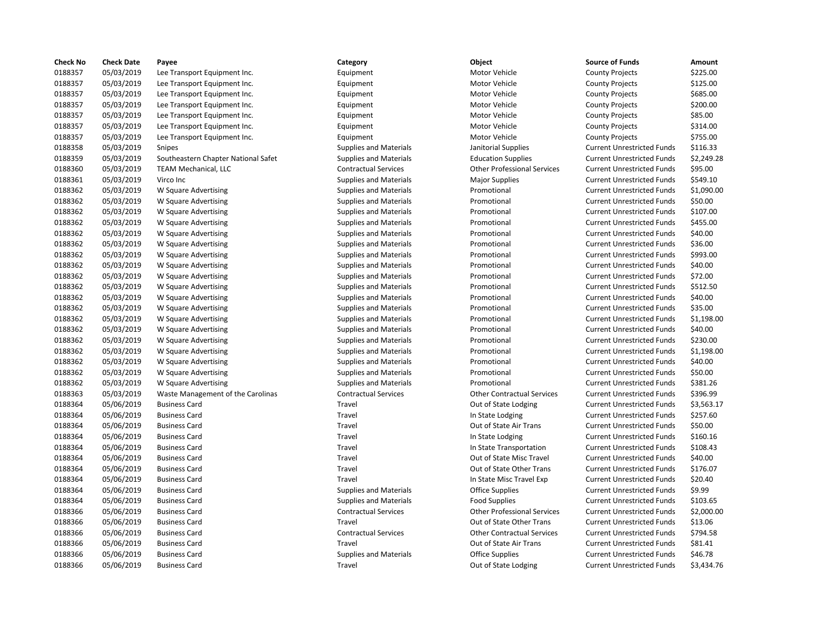| <b>Check No</b> | <b>Check Date</b> | Payee                               | Category                      | Object                             | <b>Source of Funds</b>            | Amount     |
|-----------------|-------------------|-------------------------------------|-------------------------------|------------------------------------|-----------------------------------|------------|
| 0188357         | 05/03/2019        | Lee Transport Equipment Inc.        | Equipment                     | Motor Vehicle                      | <b>County Projects</b>            | \$225.00   |
| 0188357         | 05/03/2019        | Lee Transport Equipment Inc.        | Equipment                     | Motor Vehicle                      | <b>County Projects</b>            | \$125.00   |
| 0188357         | 05/03/2019        | Lee Transport Equipment Inc.        | Equipment                     | Motor Vehicle                      | <b>County Projects</b>            | \$685.00   |
| 0188357         | 05/03/2019        | Lee Transport Equipment Inc.        | Equipment                     | Motor Vehicle                      | <b>County Projects</b>            | \$200.00   |
| 0188357         | 05/03/2019        | Lee Transport Equipment Inc.        | Equipment                     | <b>Motor Vehicle</b>               | <b>County Projects</b>            | \$85.00    |
| 0188357         | 05/03/2019        | Lee Transport Equipment Inc.        | Equipment                     | <b>Motor Vehicle</b>               | <b>County Projects</b>            | \$314.00   |
| 0188357         | 05/03/2019        | Lee Transport Equipment Inc.        | Equipment                     | <b>Motor Vehicle</b>               | <b>County Projects</b>            | \$755.00   |
| 0188358         | 05/03/2019        | Snipes                              | <b>Supplies and Materials</b> | Janitorial Supplies                | <b>Current Unrestricted Funds</b> | \$116.33   |
| 0188359         | 05/03/2019        | Southeastern Chapter National Safet | <b>Supplies and Materials</b> | <b>Education Supplies</b>          | <b>Current Unrestricted Funds</b> | \$2,249.28 |
| 0188360         | 05/03/2019        | TEAM Mechanical, LLC                | <b>Contractual Services</b>   | <b>Other Professional Services</b> | <b>Current Unrestricted Funds</b> | \$95.00    |
| 0188361         | 05/03/2019        | Virco Inc                           | <b>Supplies and Materials</b> | <b>Major Supplies</b>              | <b>Current Unrestricted Funds</b> | \$549.10   |
| 0188362         | 05/03/2019        | W Square Advertising                | <b>Supplies and Materials</b> | Promotional                        | <b>Current Unrestricted Funds</b> | \$1,090.00 |
| 0188362         | 05/03/2019        | W Square Advertising                | <b>Supplies and Materials</b> | Promotional                        | <b>Current Unrestricted Funds</b> | \$50.00    |
| 0188362         | 05/03/2019        | W Square Advertising                | <b>Supplies and Materials</b> | Promotional                        | <b>Current Unrestricted Funds</b> | \$107.00   |
| 0188362         | 05/03/2019        | W Square Advertising                | <b>Supplies and Materials</b> | Promotional                        | <b>Current Unrestricted Funds</b> | \$455.00   |
|                 |                   |                                     |                               |                                    |                                   | \$40.00    |
| 0188362         | 05/03/2019        | W Square Advertising                | <b>Supplies and Materials</b> | Promotional                        | <b>Current Unrestricted Funds</b> |            |
| 0188362         | 05/03/2019        | W Square Advertising                | <b>Supplies and Materials</b> | Promotional                        | <b>Current Unrestricted Funds</b> | \$36.00    |
| 0188362         | 05/03/2019        | W Square Advertising                | <b>Supplies and Materials</b> | Promotional                        | <b>Current Unrestricted Funds</b> | \$993.00   |
| 0188362         | 05/03/2019        | W Square Advertising                | <b>Supplies and Materials</b> | Promotional                        | <b>Current Unrestricted Funds</b> | \$40.00    |
| 0188362         | 05/03/2019        | W Square Advertising                | <b>Supplies and Materials</b> | Promotional                        | <b>Current Unrestricted Funds</b> | \$72.00    |
| 0188362         | 05/03/2019        | W Square Advertising                | <b>Supplies and Materials</b> | Promotional                        | <b>Current Unrestricted Funds</b> | \$512.50   |
| 0188362         | 05/03/2019        | W Square Advertising                | <b>Supplies and Materials</b> | Promotional                        | <b>Current Unrestricted Funds</b> | \$40.00    |
| 0188362         | 05/03/2019        | W Square Advertising                | <b>Supplies and Materials</b> | Promotional                        | <b>Current Unrestricted Funds</b> | \$35.00    |
| 0188362         | 05/03/2019        | W Square Advertising                | <b>Supplies and Materials</b> | Promotional                        | <b>Current Unrestricted Funds</b> | \$1,198.00 |
| 0188362         | 05/03/2019        | W Square Advertising                | <b>Supplies and Materials</b> | Promotional                        | <b>Current Unrestricted Funds</b> | \$40.00    |
| 0188362         | 05/03/2019        | W Square Advertising                | <b>Supplies and Materials</b> | Promotional                        | <b>Current Unrestricted Funds</b> | \$230.00   |
| 0188362         | 05/03/2019        | W Square Advertising                | <b>Supplies and Materials</b> | Promotional                        | <b>Current Unrestricted Funds</b> | \$1,198.00 |
| 0188362         | 05/03/2019        | W Square Advertising                | <b>Supplies and Materials</b> | Promotional                        | <b>Current Unrestricted Funds</b> | \$40.00    |
| 0188362         | 05/03/2019        | W Square Advertising                | <b>Supplies and Materials</b> | Promotional                        | <b>Current Unrestricted Funds</b> | \$50.00    |
| 0188362         | 05/03/2019        | W Square Advertising                | <b>Supplies and Materials</b> | Promotional                        | <b>Current Unrestricted Funds</b> | \$381.26   |
| 0188363         | 05/03/2019        | Waste Management of the Carolinas   | <b>Contractual Services</b>   | <b>Other Contractual Services</b>  | <b>Current Unrestricted Funds</b> | \$396.99   |
| 0188364         | 05/06/2019        | <b>Business Card</b>                | Travel                        | Out of State Lodging               | <b>Current Unrestricted Funds</b> | \$3,563.17 |
| 0188364         | 05/06/2019        | <b>Business Card</b>                | Travel                        | In State Lodging                   | <b>Current Unrestricted Funds</b> | \$257.60   |
| 0188364         | 05/06/2019        | <b>Business Card</b>                | Travel                        | Out of State Air Trans             | <b>Current Unrestricted Funds</b> | \$50.00    |
| 0188364         | 05/06/2019        | <b>Business Card</b>                | Travel                        | In State Lodging                   | <b>Current Unrestricted Funds</b> | \$160.16   |
| 0188364         | 05/06/2019        | <b>Business Card</b>                | Travel                        | In State Transportation            | <b>Current Unrestricted Funds</b> | \$108.43   |
| 0188364         | 05/06/2019        | <b>Business Card</b>                | Travel                        | Out of State Misc Travel           | <b>Current Unrestricted Funds</b> | \$40.00    |
| 0188364         | 05/06/2019        | <b>Business Card</b>                | Travel                        | Out of State Other Trans           | <b>Current Unrestricted Funds</b> | \$176.07   |
| 0188364         | 05/06/2019        | <b>Business Card</b>                | Travel                        | In State Misc Travel Exp           | <b>Current Unrestricted Funds</b> | \$20.40    |
| 0188364         | 05/06/2019        | <b>Business Card</b>                | <b>Supplies and Materials</b> | <b>Office Supplies</b>             | <b>Current Unrestricted Funds</b> | \$9.99     |
| 0188364         | 05/06/2019        | <b>Business Card</b>                | <b>Supplies and Materials</b> | <b>Food Supplies</b>               | <b>Current Unrestricted Funds</b> | \$103.65   |
| 0188366         | 05/06/2019        | <b>Business Card</b>                | <b>Contractual Services</b>   | <b>Other Professional Services</b> | <b>Current Unrestricted Funds</b> | \$2,000.00 |
| 0188366         | 05/06/2019        | <b>Business Card</b>                | Travel                        | Out of State Other Trans           | <b>Current Unrestricted Funds</b> | \$13.06    |
|                 |                   |                                     | <b>Contractual Services</b>   | <b>Other Contractual Services</b>  |                                   |            |
| 0188366         | 05/06/2019        | <b>Business Card</b>                |                               |                                    | <b>Current Unrestricted Funds</b> | \$794.58   |
| 0188366         | 05/06/2019        | <b>Business Card</b>                | Travel                        | Out of State Air Trans             | <b>Current Unrestricted Funds</b> | \$81.41    |
| 0188366         | 05/06/2019        | <b>Business Card</b>                | <b>Supplies and Materials</b> | <b>Office Supplies</b>             | <b>Current Unrestricted Funds</b> | \$46.78    |
| 0188366         | 05/06/2019        | <b>Business Card</b>                | Travel                        | Out of State Lodging               | <b>Current Unrestricted Funds</b> | \$3,434.76 |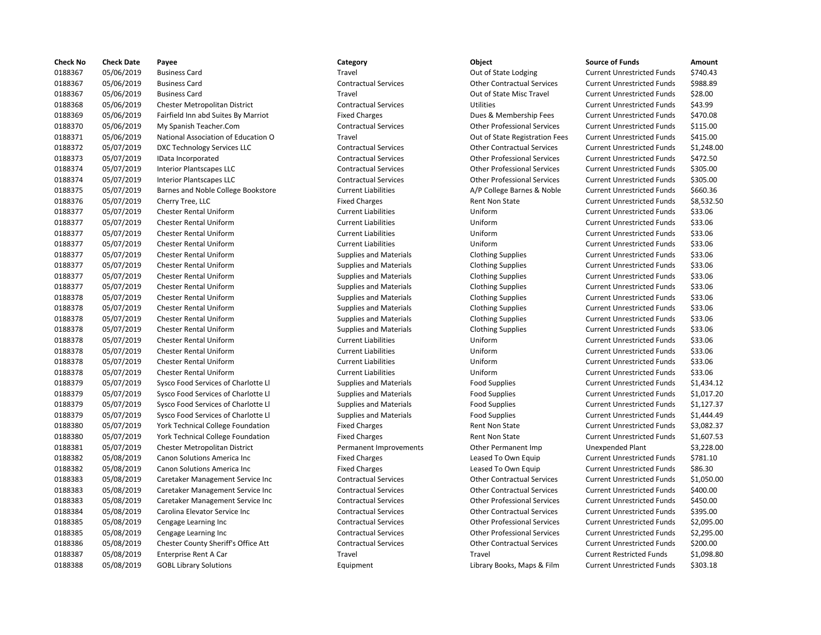| <b>Check No</b> | <b>Check Date</b> | Payee                                    | Category                      | Object                             | <b>Source of Funds</b>            | Amount     |
|-----------------|-------------------|------------------------------------------|-------------------------------|------------------------------------|-----------------------------------|------------|
| 0188367         | 05/06/2019        | <b>Business Card</b>                     | Travel                        | Out of State Lodging               | <b>Current Unrestricted Funds</b> | \$740.43   |
| 0188367         | 05/06/2019        | <b>Business Card</b>                     | <b>Contractual Services</b>   | <b>Other Contractual Services</b>  | <b>Current Unrestricted Funds</b> | \$988.89   |
| 0188367         | 05/06/2019        | <b>Business Card</b>                     | Travel                        | Out of State Misc Travel           | <b>Current Unrestricted Funds</b> | \$28.00    |
| 0188368         | 05/06/2019        | Chester Metropolitan District            | <b>Contractual Services</b>   | <b>Utilities</b>                   | <b>Current Unrestricted Funds</b> | \$43.99    |
| 0188369         | 05/06/2019        | Fairfield Inn abd Suites By Marriot      | <b>Fixed Charges</b>          | Dues & Membership Fees             | <b>Current Unrestricted Funds</b> | \$470.08   |
| 0188370         | 05/06/2019        | My Spanish Teacher.Com                   | <b>Contractual Services</b>   | <b>Other Professional Services</b> | <b>Current Unrestricted Funds</b> | \$115.00   |
| 0188371         | 05/06/2019        | National Association of Education O      | Travel                        | Out of State Registration Fees     | <b>Current Unrestricted Funds</b> | \$415.00   |
| 0188372         | 05/07/2019        | DXC Technology Services LLC              | <b>Contractual Services</b>   | <b>Other Contractual Services</b>  | <b>Current Unrestricted Funds</b> | \$1,248.00 |
| 0188373         | 05/07/2019        | IData Incorporated                       | <b>Contractual Services</b>   | <b>Other Professional Services</b> | <b>Current Unrestricted Funds</b> | \$472.50   |
| 0188374         | 05/07/2019        | <b>Interior Plantscapes LLC</b>          | <b>Contractual Services</b>   | <b>Other Professional Services</b> | <b>Current Unrestricted Funds</b> | \$305.00   |
| 0188374         | 05/07/2019        | <b>Interior Plantscapes LLC</b>          | <b>Contractual Services</b>   | <b>Other Professional Services</b> | <b>Current Unrestricted Funds</b> | \$305.00   |
| 0188375         | 05/07/2019        | Barnes and Noble College Bookstore       | <b>Current Liabilities</b>    | A/P College Barnes & Noble         | <b>Current Unrestricted Funds</b> | \$660.36   |
| 0188376         | 05/07/2019        | Cherry Tree, LLC                         | <b>Fixed Charges</b>          | Rent Non State                     | <b>Current Unrestricted Funds</b> | \$8,532.50 |
| 0188377         | 05/07/2019        | Chester Rental Uniform                   | <b>Current Liabilities</b>    | Uniform                            | <b>Current Unrestricted Funds</b> | \$33.06    |
| 0188377         | 05/07/2019        | <b>Chester Rental Uniform</b>            | <b>Current Liabilities</b>    | Uniform                            | <b>Current Unrestricted Funds</b> | \$33.06    |
| 0188377         | 05/07/2019        | <b>Chester Rental Uniform</b>            | <b>Current Liabilities</b>    | Uniform                            | <b>Current Unrestricted Funds</b> | \$33.06    |
| 0188377         | 05/07/2019        | <b>Chester Rental Uniform</b>            | <b>Current Liabilities</b>    | Uniform                            | <b>Current Unrestricted Funds</b> | \$33.06    |
| 0188377         | 05/07/2019        | <b>Chester Rental Uniform</b>            | Supplies and Materials        |                                    | <b>Current Unrestricted Funds</b> | \$33.06    |
| 0188377         | 05/07/2019        | <b>Chester Rental Uniform</b>            | <b>Supplies and Materials</b> | <b>Clothing Supplies</b>           | <b>Current Unrestricted Funds</b> | \$33.06    |
|                 |                   |                                          |                               | <b>Clothing Supplies</b>           |                                   |            |
| 0188377         | 05/07/2019        | Chester Rental Uniform                   | <b>Supplies and Materials</b> | <b>Clothing Supplies</b>           | <b>Current Unrestricted Funds</b> | \$33.06    |
| 0188377         | 05/07/2019        | <b>Chester Rental Uniform</b>            | <b>Supplies and Materials</b> | <b>Clothing Supplies</b>           | <b>Current Unrestricted Funds</b> | \$33.06    |
| 0188378         | 05/07/2019        | <b>Chester Rental Uniform</b>            | <b>Supplies and Materials</b> | <b>Clothing Supplies</b>           | <b>Current Unrestricted Funds</b> | \$33.06    |
| 0188378         | 05/07/2019        | <b>Chester Rental Uniform</b>            | <b>Supplies and Materials</b> | <b>Clothing Supplies</b>           | <b>Current Unrestricted Funds</b> | \$33.06    |
| 0188378         | 05/07/2019        | <b>Chester Rental Uniform</b>            | <b>Supplies and Materials</b> | <b>Clothing Supplies</b>           | <b>Current Unrestricted Funds</b> | \$33.06    |
| 0188378         | 05/07/2019        | <b>Chester Rental Uniform</b>            | <b>Supplies and Materials</b> | <b>Clothing Supplies</b>           | <b>Current Unrestricted Funds</b> | \$33.06    |
| 0188378         | 05/07/2019        | <b>Chester Rental Uniform</b>            | <b>Current Liabilities</b>    | Uniform                            | <b>Current Unrestricted Funds</b> | \$33.06    |
| 0188378         | 05/07/2019        | Chester Rental Uniform                   | <b>Current Liabilities</b>    | Uniform                            | <b>Current Unrestricted Funds</b> | \$33.06    |
| 0188378         | 05/07/2019        | <b>Chester Rental Uniform</b>            | <b>Current Liabilities</b>    | Uniform                            | <b>Current Unrestricted Funds</b> | \$33.06    |
| 0188378         | 05/07/2019        | <b>Chester Rental Uniform</b>            | <b>Current Liabilities</b>    | Uniform                            | <b>Current Unrestricted Funds</b> | \$33.06    |
| 0188379         | 05/07/2019        | Sysco Food Services of Charlotte Ll      | <b>Supplies and Materials</b> | <b>Food Supplies</b>               | <b>Current Unrestricted Funds</b> | \$1,434.12 |
| 0188379         | 05/07/2019        | Sysco Food Services of Charlotte Ll      | <b>Supplies and Materials</b> | <b>Food Supplies</b>               | <b>Current Unrestricted Funds</b> | \$1,017.20 |
| 0188379         | 05/07/2019        | Sysco Food Services of Charlotte Ll      | <b>Supplies and Materials</b> | <b>Food Supplies</b>               | <b>Current Unrestricted Funds</b> | \$1,127.37 |
| 0188379         | 05/07/2019        | Sysco Food Services of Charlotte Ll      | <b>Supplies and Materials</b> | <b>Food Supplies</b>               | <b>Current Unrestricted Funds</b> | \$1,444.49 |
| 0188380         | 05/07/2019        | <b>York Technical College Foundation</b> | <b>Fixed Charges</b>          | <b>Rent Non State</b>              | <b>Current Unrestricted Funds</b> | \$3,082.37 |
| 0188380         | 05/07/2019        | York Technical College Foundation        | <b>Fixed Charges</b>          | Rent Non State                     | <b>Current Unrestricted Funds</b> | \$1,607.53 |
| 0188381         | 05/07/2019        | Chester Metropolitan District            | Permanent Improvements        | Other Permanent Imp                | <b>Unexpended Plant</b>           | \$3,228.00 |
| 0188382         | 05/08/2019        | Canon Solutions America Inc              | <b>Fixed Charges</b>          | Leased To Own Equip                | <b>Current Unrestricted Funds</b> | \$781.10   |
| 0188382         | 05/08/2019        | Canon Solutions America Inc              | <b>Fixed Charges</b>          | Leased To Own Equip                | <b>Current Unrestricted Funds</b> | \$86.30    |
| 0188383         | 05/08/2019        | Caretaker Management Service Inc         | <b>Contractual Services</b>   | <b>Other Contractual Services</b>  | <b>Current Unrestricted Funds</b> | \$1,050.00 |
| 0188383         | 05/08/2019        | Caretaker Management Service Inc         | <b>Contractual Services</b>   | <b>Other Contractual Services</b>  | <b>Current Unrestricted Funds</b> | \$400.00   |
| 0188383         | 05/08/2019        | Caretaker Management Service Inc         | <b>Contractual Services</b>   | <b>Other Professional Services</b> | <b>Current Unrestricted Funds</b> | \$450.00   |
| 0188384         | 05/08/2019        | Carolina Elevator Service Inc            | <b>Contractual Services</b>   | <b>Other Contractual Services</b>  | <b>Current Unrestricted Funds</b> | \$395.00   |
| 0188385         | 05/08/2019        | Cengage Learning Inc                     | <b>Contractual Services</b>   | <b>Other Professional Services</b> | <b>Current Unrestricted Funds</b> | \$2,095.00 |
| 0188385         | 05/08/2019        | Cengage Learning Inc                     | <b>Contractual Services</b>   | <b>Other Professional Services</b> | <b>Current Unrestricted Funds</b> | \$2,295.00 |
| 0188386         | 05/08/2019        | Chester County Sheriff's Office Att      | <b>Contractual Services</b>   | <b>Other Contractual Services</b>  | <b>Current Unrestricted Funds</b> | \$200.00   |
| 0188387         | 05/08/2019        | Enterprise Rent A Car                    | Travel                        | Travel                             | <b>Current Restricted Funds</b>   | \$1,098.80 |
| 0188388         | 05/08/2019        | <b>GOBL Library Solutions</b>            | Equipment                     | Library Books, Maps & Film         | <b>Current Unrestricted Funds</b> | \$303.18   |
|                 |                   |                                          |                               |                                    |                                   |            |

# Travel **18836** Out of State Lodging Current Unrestricted Funds \$740.43 Contractual Services **Contractual Services** Current Unrestricted Funds \$988.89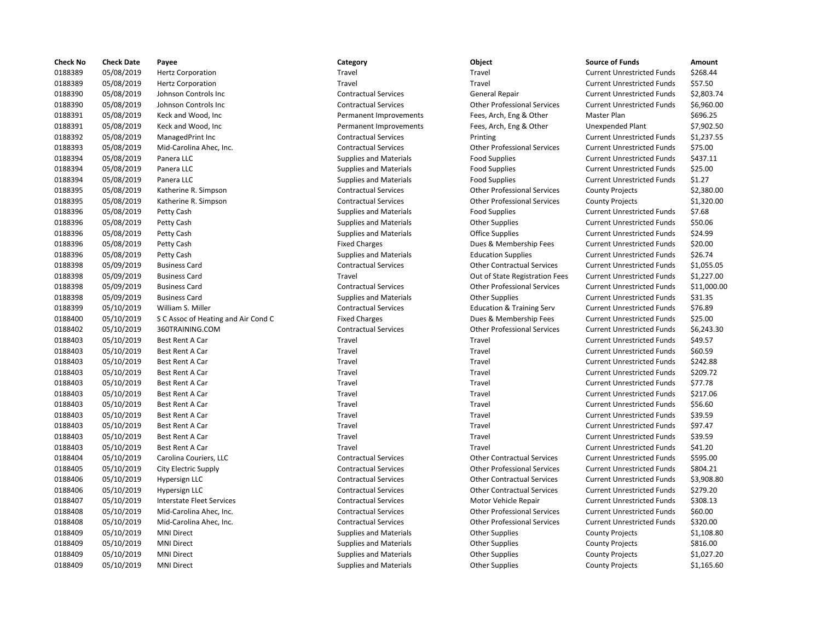| <b>Check No</b> | <b>Check Date</b> | Payee                               | Category                      | Object                               | <b>Source of Funds</b>            | Amount     |
|-----------------|-------------------|-------------------------------------|-------------------------------|--------------------------------------|-----------------------------------|------------|
| 0188389         | 05/08/2019        | <b>Hertz Corporation</b>            | Travel                        | Travel                               | <b>Current Unrestricted Funds</b> | \$268.44   |
| 0188389         | 05/08/2019        | <b>Hertz Corporation</b>            | Travel                        | Travel                               | <b>Current Unrestricted Funds</b> | \$57.50    |
| 0188390         | 05/08/2019        | Johnson Controls Inc                | <b>Contractual Services</b>   | <b>General Repair</b>                | <b>Current Unrestricted Funds</b> | \$2,803.74 |
| 0188390         | 05/08/2019        | Johnson Controls Inc                | <b>Contractual Services</b>   | <b>Other Professional Services</b>   | <b>Current Unrestricted Funds</b> | \$6,960.00 |
| 0188391         | 05/08/2019        | Keck and Wood, Inc                  | Permanent Improvements        | Fees, Arch, Eng & Other              | Master Plan                       | \$696.25   |
| 0188391         | 05/08/2019        | Keck and Wood, Inc                  | Permanent Improvements        | Fees, Arch, Eng & Other              | Unexpended Plant                  | \$7,902.50 |
| 0188392         | 05/08/2019        | ManagedPrint Inc                    | <b>Contractual Services</b>   | Printing                             | <b>Current Unrestricted Funds</b> | \$1,237.55 |
| 0188393         | 05/08/2019        | Mid-Carolina Ahec, Inc.             | <b>Contractual Services</b>   | <b>Other Professional Services</b>   | <b>Current Unrestricted Funds</b> | \$75.00    |
| 0188394         | 05/08/2019        | Panera LLC                          | <b>Supplies and Materials</b> | <b>Food Supplies</b>                 | <b>Current Unrestricted Funds</b> | \$437.11   |
| 0188394         | 05/08/2019        | Panera LLC                          | <b>Supplies and Materials</b> | <b>Food Supplies</b>                 | <b>Current Unrestricted Funds</b> | \$25.00    |
| 0188394         | 05/08/2019        | Panera LLC                          | <b>Supplies and Materials</b> | <b>Food Supplies</b>                 | <b>Current Unrestricted Funds</b> | \$1.27     |
| 0188395         | 05/08/2019        | Katherine R. Simpson                | <b>Contractual Services</b>   | <b>Other Professional Services</b>   | <b>County Projects</b>            | \$2,380.00 |
| 0188395         | 05/08/2019        | Katherine R. Simpson                | <b>Contractual Services</b>   | <b>Other Professional Services</b>   | <b>County Projects</b>            | \$1,320.00 |
| 0188396         | 05/08/2019        | Petty Cash                          | <b>Supplies and Materials</b> | <b>Food Supplies</b>                 | <b>Current Unrestricted Funds</b> | \$7.68     |
| 0188396         | 05/08/2019        | Petty Cash                          | <b>Supplies and Materials</b> | <b>Other Supplies</b>                | <b>Current Unrestricted Funds</b> | \$50.06    |
| 0188396         | 05/08/2019        | Petty Cash                          | <b>Supplies and Materials</b> | <b>Office Supplies</b>               | <b>Current Unrestricted Funds</b> | \$24.99    |
| 0188396         | 05/08/2019        | Petty Cash                          | <b>Fixed Charges</b>          | Dues & Membership Fees               | <b>Current Unrestricted Funds</b> | \$20.00    |
| 0188396         | 05/08/2019        | Petty Cash                          | <b>Supplies and Materials</b> | <b>Education Supplies</b>            | <b>Current Unrestricted Funds</b> | \$26.74    |
| 0188398         | 05/09/2019        | <b>Business Card</b>                | <b>Contractual Services</b>   | <b>Other Contractual Services</b>    | <b>Current Unrestricted Funds</b> | \$1,055.05 |
| 0188398         | 05/09/2019        | <b>Business Card</b>                | Travel                        | Out of State Registration Fees       | <b>Current Unrestricted Funds</b> | \$1,227.00 |
| 0188398         | 05/09/2019        | <b>Business Card</b>                | <b>Contractual Services</b>   | <b>Other Professional Services</b>   | <b>Current Unrestricted Funds</b> | \$11,000.0 |
| 0188398         | 05/09/2019        | <b>Business Card</b>                | <b>Supplies and Materials</b> | <b>Other Supplies</b>                | <b>Current Unrestricted Funds</b> | \$31.35    |
| 0188399         | 05/10/2019        | William S. Miller                   | <b>Contractual Services</b>   | <b>Education &amp; Training Serv</b> | <b>Current Unrestricted Funds</b> | \$76.89    |
| 0188400         | 05/10/2019        | S C Assoc of Heating and Air Cond C | <b>Fixed Charges</b>          | Dues & Membership Fees               | <b>Current Unrestricted Funds</b> | \$25.00    |
| 0188402         | 05/10/2019        | 360TRAINING.COM                     | <b>Contractual Services</b>   | <b>Other Professional Services</b>   | <b>Current Unrestricted Funds</b> | \$6,243.30 |
| 0188403         |                   | Best Rent A Car                     | Travel                        | Travel                               | <b>Current Unrestricted Funds</b> | \$49.57    |
|                 | 05/10/2019        |                                     |                               |                                      |                                   |            |
| 0188403         | 05/10/2019        | Best Rent A Car                     | Travel                        | Travel                               | <b>Current Unrestricted Funds</b> | \$60.59    |
| 0188403         | 05/10/2019        | Best Rent A Car                     | Travel                        | Travel                               | <b>Current Unrestricted Funds</b> | \$242.88   |
| 0188403         | 05/10/2019        | Best Rent A Car                     | Travel                        | Travel                               | <b>Current Unrestricted Funds</b> | \$209.72   |
| 0188403         | 05/10/2019        | Best Rent A Car                     | Travel                        | Travel                               | <b>Current Unrestricted Funds</b> | \$77.78    |
| 0188403         | 05/10/2019        | Best Rent A Car                     | Travel                        | Travel                               | <b>Current Unrestricted Funds</b> | \$217.06   |
| 0188403         | 05/10/2019        | Best Rent A Car                     | Travel                        | Travel                               | <b>Current Unrestricted Funds</b> | \$56.60    |
| 0188403         | 05/10/2019        | Best Rent A Car                     | Travel                        | Travel                               | <b>Current Unrestricted Funds</b> | \$39.59    |
| 0188403         | 05/10/2019        | Best Rent A Car                     | Travel                        | Travel                               | <b>Current Unrestricted Funds</b> | \$97.47    |
| 0188403         | 05/10/2019        | Best Rent A Car                     | Travel                        | Travel                               | <b>Current Unrestricted Funds</b> | \$39.59    |
| 0188403         | 05/10/2019        | Best Rent A Car                     | Travel                        | Travel                               | <b>Current Unrestricted Funds</b> | \$41.20    |
| 0188404         | 05/10/2019        | Carolina Couriers, LLC              | <b>Contractual Services</b>   | <b>Other Contractual Services</b>    | <b>Current Unrestricted Funds</b> | \$595.00   |
| 0188405         | 05/10/2019        | City Electric Supply                | <b>Contractual Services</b>   | <b>Other Professional Services</b>   | <b>Current Unrestricted Funds</b> | \$804.21   |
| 0188406         | 05/10/2019        | Hypersign LLC                       | <b>Contractual Services</b>   | <b>Other Contractual Services</b>    | <b>Current Unrestricted Funds</b> | \$3,908.80 |
| 0188406         | 05/10/2019        | Hypersign LLC                       | <b>Contractual Services</b>   | <b>Other Contractual Services</b>    | <b>Current Unrestricted Funds</b> | \$279.20   |
| 0188407         | 05/10/2019        | <b>Interstate Fleet Services</b>    | <b>Contractual Services</b>   | Motor Vehicle Repair                 | <b>Current Unrestricted Funds</b> | \$308.13   |
| 0188408         | 05/10/2019        | Mid-Carolina Ahec, Inc.             | <b>Contractual Services</b>   | <b>Other Professional Services</b>   | <b>Current Unrestricted Funds</b> | \$60.00    |
| 0188408         | 05/10/2019        | Mid-Carolina Ahec, Inc.             | <b>Contractual Services</b>   | <b>Other Professional Services</b>   | <b>Current Unrestricted Funds</b> | \$320.00   |
| 0188409         | 05/10/2019        | <b>MNI Direct</b>                   | <b>Supplies and Materials</b> | <b>Other Supplies</b>                | <b>County Projects</b>            | \$1,108.80 |
| 0188409         | 05/10/2019        | <b>MNI Direct</b>                   | <b>Supplies and Materials</b> | <b>Other Supplies</b>                | <b>County Projects</b>            | \$816.00   |
| 0188409         | 05/10/2019        | <b>MNI Direct</b>                   | <b>Supplies and Materials</b> | <b>Other Supplies</b>                | <b>County Projects</b>            | \$1,027.20 |
| 0188409         | 05/10/2019        | <b>MNI Direct</b>                   | <b>Supplies and Materials</b> | <b>Other Supplies</b>                | <b>County Projects</b>            | \$1,165.60 |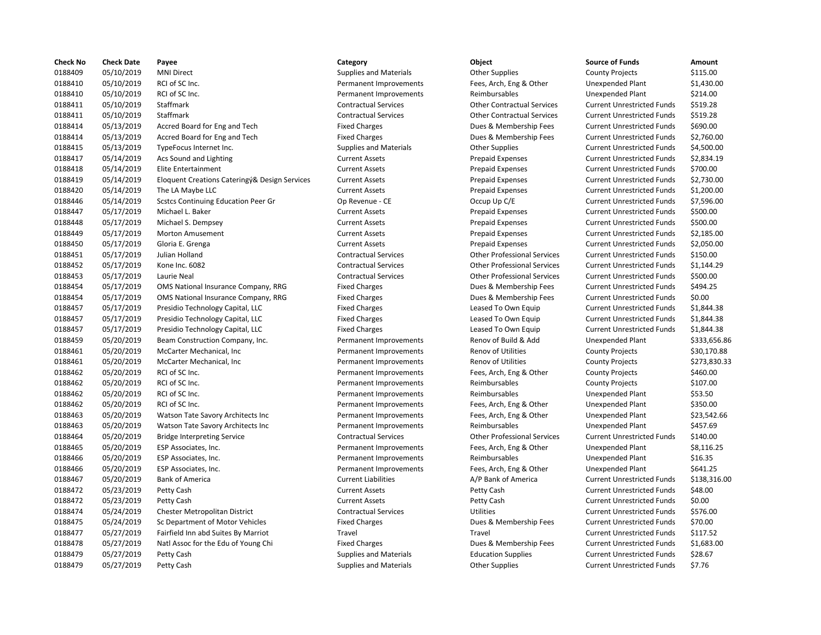| <b>Check No</b> | <b>Check Date</b> | Payee                                         | Category                      | Object                             | <b>Source of Funds</b>            | Amount     |
|-----------------|-------------------|-----------------------------------------------|-------------------------------|------------------------------------|-----------------------------------|------------|
| 0188409         | 05/10/2019        | <b>MNI Direct</b>                             | <b>Supplies and Materials</b> | <b>Other Supplies</b>              | <b>County Projects</b>            | \$115.00   |
| 0188410         | 05/10/2019        | RCI of SC Inc.                                | Permanent Improvements        | Fees, Arch, Eng & Other            | Unexpended Plant                  | \$1,430.00 |
| 0188410         | 05/10/2019        | RCI of SC Inc.                                | Permanent Improvements        | Reimbursables                      | <b>Unexpended Plant</b>           | \$214.00   |
| 0188411         | 05/10/2019        | Staffmark                                     | <b>Contractual Services</b>   | <b>Other Contractual Services</b>  | <b>Current Unrestricted Funds</b> | \$519.28   |
| 0188411         | 05/10/2019        | Staffmark                                     | <b>Contractual Services</b>   | <b>Other Contractual Services</b>  | <b>Current Unrestricted Funds</b> | \$519.28   |
| 0188414         | 05/13/2019        | Accred Board for Eng and Tech                 | <b>Fixed Charges</b>          | Dues & Membership Fees             | <b>Current Unrestricted Funds</b> | \$690.00   |
| 0188414         | 05/13/2019        | Accred Board for Eng and Tech                 | <b>Fixed Charges</b>          | Dues & Membership Fees             | <b>Current Unrestricted Funds</b> | \$2,760.00 |
| 0188415         | 05/13/2019        | TypeFocus Internet Inc.                       | <b>Supplies and Materials</b> | <b>Other Supplies</b>              | <b>Current Unrestricted Funds</b> | \$4,500.00 |
| 0188417         | 05/14/2019        | Acs Sound and Lighting                        | <b>Current Assets</b>         | <b>Prepaid Expenses</b>            | <b>Current Unrestricted Funds</b> | \$2,834.19 |
| 0188418         | 05/14/2019        | <b>Elite Entertainment</b>                    | <b>Current Assets</b>         | <b>Prepaid Expenses</b>            | <b>Current Unrestricted Funds</b> | \$700.00   |
| 0188419         | 05/14/2019        | Eloquent Creations Cateringý& Design Services | <b>Current Assets</b>         | <b>Prepaid Expenses</b>            | <b>Current Unrestricted Funds</b> | \$2,730.00 |
| 0188420         | 05/14/2019        | The LA Maybe LLC                              | <b>Current Assets</b>         | <b>Prepaid Expenses</b>            | <b>Current Unrestricted Funds</b> | \$1,200.00 |
| 0188446         | 05/14/2019        | <b>Scstcs Continuing Education Peer Gr</b>    | Op Revenue - CE               | Occup Up C/E                       | <b>Current Unrestricted Funds</b> | \$7,596.00 |
| 0188447         | 05/17/2019        | Michael L. Baker                              | <b>Current Assets</b>         | <b>Prepaid Expenses</b>            | <b>Current Unrestricted Funds</b> | \$500.00   |
| 0188448         | 05/17/2019        | Michael S. Dempsey                            | <b>Current Assets</b>         | <b>Prepaid Expenses</b>            | <b>Current Unrestricted Funds</b> | \$500.00   |
| 0188449         | 05/17/2019        | Morton Amusement                              | <b>Current Assets</b>         | <b>Prepaid Expenses</b>            | <b>Current Unrestricted Funds</b> | \$2,185.00 |
| 0188450         | 05/17/2019        | Gloria E. Grenga                              | <b>Current Assets</b>         | <b>Prepaid Expenses</b>            | <b>Current Unrestricted Funds</b> | \$2,050.00 |
|                 |                   |                                               |                               |                                    |                                   |            |
| 0188451         | 05/17/2019        | Julian Holland                                | <b>Contractual Services</b>   | <b>Other Professional Services</b> | <b>Current Unrestricted Funds</b> | \$150.00   |
| 0188452         | 05/17/2019        | Kone Inc. 6082                                | <b>Contractual Services</b>   | <b>Other Professional Services</b> | <b>Current Unrestricted Funds</b> | \$1,144.29 |
| 0188453         | 05/17/2019        | Laurie Neal                                   | <b>Contractual Services</b>   | <b>Other Professional Services</b> | <b>Current Unrestricted Funds</b> | \$500.00   |
| 0188454         | 05/17/2019        | OMS National Insurance Company, RRG           | <b>Fixed Charges</b>          | Dues & Membership Fees             | <b>Current Unrestricted Funds</b> | \$494.25   |
| 0188454         | 05/17/2019        | OMS National Insurance Company, RRG           | <b>Fixed Charges</b>          | Dues & Membership Fees             | <b>Current Unrestricted Funds</b> | \$0.00     |
| 0188457         | 05/17/2019        | Presidio Technology Capital, LLC              | <b>Fixed Charges</b>          | Leased To Own Equip                | <b>Current Unrestricted Funds</b> | \$1,844.38 |
| 0188457         | 05/17/2019        | Presidio Technology Capital, LLC              | <b>Fixed Charges</b>          | Leased To Own Equip                | <b>Current Unrestricted Funds</b> | \$1,844.38 |
| 0188457         | 05/17/2019        | Presidio Technology Capital, LLC              | <b>Fixed Charges</b>          | Leased To Own Equip                | <b>Current Unrestricted Funds</b> | \$1,844.38 |
| 0188459         | 05/20/2019        | Beam Construction Company, Inc.               | Permanent Improvements        | Renov of Build & Add               | <b>Unexpended Plant</b>           | \$333,656. |
| 0188461         | 05/20/2019        | McCarter Mechanical, Inc.                     | Permanent Improvements        | <b>Renov of Utilities</b>          | <b>County Projects</b>            | \$30,170.8 |
| 0188461         | 05/20/2019        | McCarter Mechanical, Inc.                     | Permanent Improvements        | Renov of Utilities                 | <b>County Projects</b>            | \$273,830. |
| 0188462         | 05/20/2019        | RCI of SC Inc.                                | Permanent Improvements        | Fees, Arch, Eng & Other            | <b>County Projects</b>            | \$460.00   |
| 0188462         | 05/20/2019        | RCI of SC Inc.                                | Permanent Improvements        | Reimbursables                      | <b>County Projects</b>            | \$107.00   |
| 0188462         | 05/20/2019        | RCI of SC Inc.                                | Permanent Improvements        | Reimbursables                      | Unexpended Plant                  | \$53.50    |
| 0188462         | 05/20/2019        | RCI of SC Inc.                                | Permanent Improvements        | Fees, Arch, Eng & Other            | <b>Unexpended Plant</b>           | \$350.00   |
| 0188463         | 05/20/2019        | Watson Tate Savory Architects Inc             | Permanent Improvements        | Fees, Arch, Eng & Other            | Unexpended Plant                  | \$23,542.6 |
| 0188463         | 05/20/2019        | Watson Tate Savory Architects Inc             | Permanent Improvements        | Reimbursables                      | <b>Unexpended Plant</b>           | \$457.69   |
| 0188464         | 05/20/2019        | <b>Bridge Interpreting Service</b>            | <b>Contractual Services</b>   | <b>Other Professional Services</b> | <b>Current Unrestricted Funds</b> | \$140.00   |
| 0188465         | 05/20/2019        | ESP Associates, Inc.                          | Permanent Improvements        | Fees, Arch, Eng & Other            | <b>Unexpended Plant</b>           | \$8,116.25 |
| 0188466         | 05/20/2019        | ESP Associates, Inc.                          | Permanent Improvements        | Reimbursables                      | Unexpended Plant                  | \$16.35    |
| 0188466         | 05/20/2019        | ESP Associates, Inc.                          | Permanent Improvements        | Fees, Arch, Eng & Other            | <b>Unexpended Plant</b>           | \$641.25   |
| 0188467         | 05/20/2019        | <b>Bank of America</b>                        | <b>Current Liabilities</b>    | A/P Bank of America                | <b>Current Unrestricted Funds</b> | \$138,316. |
| 0188472         | 05/23/2019        | Petty Cash                                    | <b>Current Assets</b>         | Petty Cash                         | <b>Current Unrestricted Funds</b> | \$48.00    |
| 0188472         | 05/23/2019        | Petty Cash                                    | <b>Current Assets</b>         | Petty Cash                         | <b>Current Unrestricted Funds</b> | \$0.00     |
| 0188474         | 05/24/2019        | Chester Metropolitan District                 | <b>Contractual Services</b>   | <b>Utilities</b>                   | <b>Current Unrestricted Funds</b> | \$576.00   |
| 0188475         | 05/24/2019        | Sc Department of Motor Vehicles               | <b>Fixed Charges</b>          | Dues & Membership Fees             | <b>Current Unrestricted Funds</b> | \$70.00    |
| 0188477         | 05/27/2019        | Fairfield Inn abd Suites By Marriot           | Travel                        | Travel                             | <b>Current Unrestricted Funds</b> | \$117.52   |
| 0188478         | 05/27/2019        | Natl Assoc for the Edu of Young Chi           | <b>Fixed Charges</b>          | Dues & Membership Fees             | <b>Current Unrestricted Funds</b> | \$1,683.00 |
| 0188479         | 05/27/2019        | Petty Cash                                    | <b>Supplies and Materials</b> | <b>Education Supplies</b>          | <b>Current Unrestricted Funds</b> | \$28.67    |
| 0188479         | 05/27/2019        | Petty Cash                                    | <b>Supplies and Materials</b> | <b>Other Supplies</b>              | <b>Current Unrestricted Funds</b> | \$7.76     |
|                 |                   |                                               |                               |                                    |                                   |            |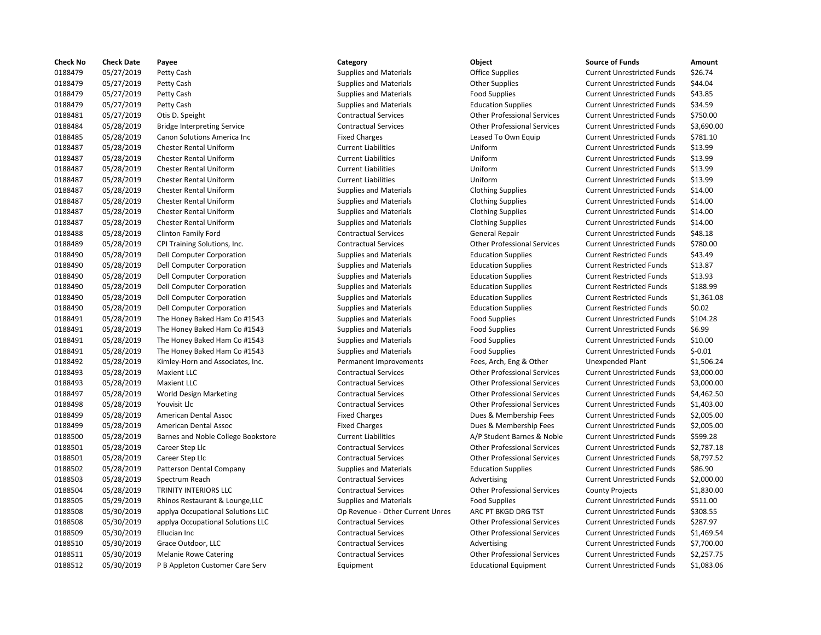| <b>Check No</b> | <b>Check Date</b> | Payee                              | Category                         | Object                             | <b>Source of Funds</b>            | Amount     |
|-----------------|-------------------|------------------------------------|----------------------------------|------------------------------------|-----------------------------------|------------|
| 0188479         | 05/27/2019        | Petty Cash                         | <b>Supplies and Materials</b>    | <b>Office Supplies</b>             | <b>Current Unrestricted Funds</b> | \$26.74    |
| 0188479         | 05/27/2019        | Petty Cash                         | <b>Supplies and Materials</b>    | <b>Other Supplies</b>              | <b>Current Unrestricted Funds</b> | \$44.04    |
| 0188479         | 05/27/2019        | Petty Cash                         | <b>Supplies and Materials</b>    | <b>Food Supplies</b>               | <b>Current Unrestricted Funds</b> | \$43.85    |
| 0188479         | 05/27/2019        | Petty Cash                         | <b>Supplies and Materials</b>    | <b>Education Supplies</b>          | <b>Current Unrestricted Funds</b> | \$34.59    |
| 0188481         | 05/27/2019        | Otis D. Speight                    | <b>Contractual Services</b>      | <b>Other Professional Services</b> | <b>Current Unrestricted Funds</b> | \$750.00   |
| 0188484         | 05/28/2019        | <b>Bridge Interpreting Service</b> | <b>Contractual Services</b>      | <b>Other Professional Services</b> | <b>Current Unrestricted Funds</b> | \$3,690.00 |
| 0188485         | 05/28/2019        | Canon Solutions America Inc        | <b>Fixed Charges</b>             | Leased To Own Equip                | <b>Current Unrestricted Funds</b> | \$781.10   |
| 0188487         | 05/28/2019        | Chester Rental Uniform             | <b>Current Liabilities</b>       | Uniform                            | <b>Current Unrestricted Funds</b> | \$13.99    |
| 0188487         | 05/28/2019        | <b>Chester Rental Uniform</b>      | <b>Current Liabilities</b>       | Uniform                            | <b>Current Unrestricted Funds</b> | \$13.99    |
| 0188487         | 05/28/2019        | Chester Rental Uniform             | <b>Current Liabilities</b>       | Uniform                            | <b>Current Unrestricted Funds</b> | \$13.99    |
| 0188487         | 05/28/2019        | Chester Rental Uniform             | <b>Current Liabilities</b>       | Uniform                            | <b>Current Unrestricted Funds</b> | \$13.99    |
| 0188487         | 05/28/2019        | <b>Chester Rental Uniform</b>      | <b>Supplies and Materials</b>    | <b>Clothing Supplies</b>           | <b>Current Unrestricted Funds</b> | \$14.00    |
| 0188487         | 05/28/2019        | <b>Chester Rental Uniform</b>      | <b>Supplies and Materials</b>    | <b>Clothing Supplies</b>           | <b>Current Unrestricted Funds</b> | \$14.00    |
| 0188487         | 05/28/2019        | Chester Rental Uniform             | <b>Supplies and Materials</b>    | <b>Clothing Supplies</b>           | <b>Current Unrestricted Funds</b> | \$14.00    |
| 0188487         | 05/28/2019        | <b>Chester Rental Uniform</b>      | <b>Supplies and Materials</b>    | <b>Clothing Supplies</b>           | <b>Current Unrestricted Funds</b> | \$14.00    |
| 0188488         | 05/28/2019        | <b>Clinton Family Ford</b>         | <b>Contractual Services</b>      | General Repair                     | <b>Current Unrestricted Funds</b> | \$48.18    |
| 0188489         |                   |                                    | <b>Contractual Services</b>      |                                    | <b>Current Unrestricted Funds</b> | \$780.00   |
|                 | 05/28/2019        | CPI Training Solutions, Inc.       |                                  | <b>Other Professional Services</b> |                                   |            |
| 0188490         | 05/28/2019        | <b>Dell Computer Corporation</b>   | <b>Supplies and Materials</b>    | <b>Education Supplies</b>          | <b>Current Restricted Funds</b>   | \$43.49    |
| 0188490         | 05/28/2019        | Dell Computer Corporation          | <b>Supplies and Materials</b>    | <b>Education Supplies</b>          | <b>Current Restricted Funds</b>   | \$13.87    |
| 0188490         | 05/28/2019        | <b>Dell Computer Corporation</b>   | <b>Supplies and Materials</b>    | <b>Education Supplies</b>          | <b>Current Restricted Funds</b>   | \$13.93    |
| 0188490         | 05/28/2019        | Dell Computer Corporation          | <b>Supplies and Materials</b>    | <b>Education Supplies</b>          | <b>Current Restricted Funds</b>   | \$188.99   |
| 0188490         | 05/28/2019        | Dell Computer Corporation          | <b>Supplies and Materials</b>    | <b>Education Supplies</b>          | <b>Current Restricted Funds</b>   | \$1,361.08 |
| 0188490         | 05/28/2019        | Dell Computer Corporation          | <b>Supplies and Materials</b>    | <b>Education Supplies</b>          | <b>Current Restricted Funds</b>   | \$0.02     |
| 0188491         | 05/28/2019        | The Honey Baked Ham Co #1543       | <b>Supplies and Materials</b>    | <b>Food Supplies</b>               | <b>Current Unrestricted Funds</b> | \$104.28   |
| 0188491         | 05/28/2019        | The Honey Baked Ham Co #1543       | <b>Supplies and Materials</b>    | <b>Food Supplies</b>               | <b>Current Unrestricted Funds</b> | \$6.99     |
| 0188491         | 05/28/2019        | The Honey Baked Ham Co #1543       | <b>Supplies and Materials</b>    | <b>Food Supplies</b>               | <b>Current Unrestricted Funds</b> | \$10.00    |
| 0188491         | 05/28/2019        | The Honey Baked Ham Co #1543       | <b>Supplies and Materials</b>    | <b>Food Supplies</b>               | <b>Current Unrestricted Funds</b> | $$-0.01$   |
| 0188492         | 05/28/2019        | Kimley-Horn and Associates, Inc.   | Permanent Improvements           | Fees, Arch, Eng & Other            | Unexpended Plant                  | \$1,506.24 |
| 0188493         | 05/28/2019        | <b>Maxient LLC</b>                 | <b>Contractual Services</b>      | <b>Other Professional Services</b> | <b>Current Unrestricted Funds</b> | \$3,000.00 |
| 0188493         | 05/28/2019        | <b>Maxient LLC</b>                 | <b>Contractual Services</b>      | <b>Other Professional Services</b> | <b>Current Unrestricted Funds</b> | \$3,000.00 |
| 0188497         | 05/28/2019        | <b>World Design Marketing</b>      | <b>Contractual Services</b>      | <b>Other Professional Services</b> | <b>Current Unrestricted Funds</b> | \$4,462.50 |
| 0188498         | 05/28/2019        | Youvisit Llc                       | <b>Contractual Services</b>      | <b>Other Professional Services</b> | <b>Current Unrestricted Funds</b> | \$1,403.00 |
| 0188499         | 05/28/2019        | American Dental Assoc              | <b>Fixed Charges</b>             | Dues & Membership Fees             | <b>Current Unrestricted Funds</b> | \$2,005.00 |
| 0188499         | 05/28/2019        | American Dental Assoc              | <b>Fixed Charges</b>             | Dues & Membership Fees             | <b>Current Unrestricted Funds</b> | \$2,005.00 |
| 0188500         | 05/28/2019        | Barnes and Noble College Bookstore | <b>Current Liabilities</b>       | A/P Student Barnes & Noble         | <b>Current Unrestricted Funds</b> | \$599.28   |
| 0188501         | 05/28/2019        | Career Step Llc                    | <b>Contractual Services</b>      | <b>Other Professional Services</b> | <b>Current Unrestricted Funds</b> | \$2,787.18 |
| 0188501         | 05/28/2019        | Career Step Llc                    | <b>Contractual Services</b>      | <b>Other Professional Services</b> | <b>Current Unrestricted Funds</b> | \$8,797.52 |
| 0188502         | 05/28/2019        | Patterson Dental Company           | <b>Supplies and Materials</b>    | <b>Education Supplies</b>          | <b>Current Unrestricted Funds</b> | \$86.90    |
| 0188503         | 05/28/2019        | Spectrum Reach                     | <b>Contractual Services</b>      | Advertising                        | <b>Current Unrestricted Funds</b> | \$2,000.00 |
| 0188504         | 05/28/2019        | TRINITY INTERIORS LLC              | <b>Contractual Services</b>      | <b>Other Professional Services</b> | <b>County Projects</b>            | \$1,830.00 |
| 0188505         | 05/29/2019        | Rhinos Restaurant & Lounge, LLC    | <b>Supplies and Materials</b>    | <b>Food Supplies</b>               | <b>Current Unrestricted Funds</b> | \$511.00   |
| 0188508         | 05/30/2019        | applya Occupational Solutions LLC  | Op Revenue - Other Current Unres | ARC PT BKGD DRG TST                | <b>Current Unrestricted Funds</b> | \$308.55   |
| 0188508         | 05/30/2019        | applya Occupational Solutions LLC  | <b>Contractual Services</b>      | <b>Other Professional Services</b> | <b>Current Unrestricted Funds</b> | \$287.97   |
| 0188509         | 05/30/2019        | Ellucian Inc                       | <b>Contractual Services</b>      | <b>Other Professional Services</b> | <b>Current Unrestricted Funds</b> | \$1,469.54 |
| 0188510         | 05/30/2019        | Grace Outdoor, LLC                 | <b>Contractual Services</b>      | Advertising                        | <b>Current Unrestricted Funds</b> | \$7,700.00 |
| 0188511         | 05/30/2019        | <b>Melanie Rowe Catering</b>       | <b>Contractual Services</b>      | <b>Other Professional Services</b> | <b>Current Unrestricted Funds</b> | \$2,257.75 |
| 0188512         | 05/30/2019        | P B Appleton Customer Care Serv    | Equipment                        | <b>Educational Equipment</b>       | <b>Current Unrestricted Funds</b> | \$1,083.06 |
|                 |                   |                                    |                                  |                                    |                                   |            |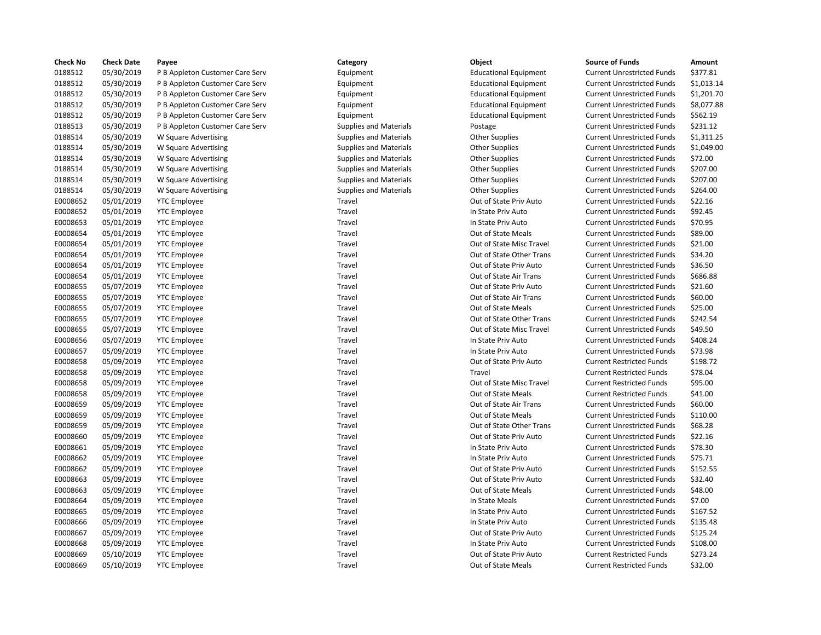| <b>Check No</b> | <b>Check Date</b> | Payee                           | Category                      | Object                       | <b>Source of Funds</b>            | Amount    |
|-----------------|-------------------|---------------------------------|-------------------------------|------------------------------|-----------------------------------|-----------|
| 0188512         | 05/30/2019        | P B Appleton Customer Care Serv | Equipment                     | <b>Educational Equipment</b> | <b>Current Unrestricted Funds</b> | \$377.81  |
| 0188512         | 05/30/2019        | P B Appleton Customer Care Serv | Equipment                     | <b>Educational Equipment</b> | <b>Current Unrestricted Funds</b> | \$1,013.1 |
| 0188512         | 05/30/2019        | P B Appleton Customer Care Serv | Equipment                     | <b>Educational Equipment</b> | <b>Current Unrestricted Funds</b> | \$1,201.7 |
| 0188512         | 05/30/2019        | P B Appleton Customer Care Serv | Equipment                     | <b>Educational Equipment</b> | <b>Current Unrestricted Funds</b> | \$8,077.8 |
| 0188512         | 05/30/2019        | P B Appleton Customer Care Serv | Equipment                     | <b>Educational Equipment</b> | <b>Current Unrestricted Funds</b> | \$562.19  |
| 0188513         | 05/30/2019        | P B Appleton Customer Care Serv | <b>Supplies and Materials</b> | Postage                      | <b>Current Unrestricted Funds</b> | \$231.12  |
| 0188514         | 05/30/2019        | W Square Advertising            | <b>Supplies and Materials</b> | <b>Other Supplies</b>        | <b>Current Unrestricted Funds</b> | \$1,311.2 |
| 0188514         | 05/30/2019        | W Square Advertising            | <b>Supplies and Materials</b> | <b>Other Supplies</b>        | <b>Current Unrestricted Funds</b> | \$1,049.0 |
| 0188514         | 05/30/2019        | W Square Advertising            | <b>Supplies and Materials</b> | <b>Other Supplies</b>        | <b>Current Unrestricted Funds</b> | \$72.00   |
| 0188514         | 05/30/2019        | W Square Advertising            | <b>Supplies and Materials</b> | <b>Other Supplies</b>        | <b>Current Unrestricted Funds</b> | \$207.00  |
| 0188514         | 05/30/2019        | W Square Advertising            | <b>Supplies and Materials</b> | <b>Other Supplies</b>        | <b>Current Unrestricted Funds</b> | \$207.00  |
| 0188514         | 05/30/2019        | W Square Advertising            | <b>Supplies and Materials</b> | <b>Other Supplies</b>        | <b>Current Unrestricted Funds</b> | \$264.00  |
| E0008652        | 05/01/2019        | <b>YTC Employee</b>             | Travel                        | Out of State Priv Auto       | <b>Current Unrestricted Funds</b> | \$22.16   |
| E0008652        | 05/01/2019        | <b>YTC Employee</b>             | Travel                        | In State Priv Auto           | <b>Current Unrestricted Funds</b> | \$92.45   |
| E0008653        | 05/01/2019        | <b>YTC Employee</b>             | Travel                        | In State Priv Auto           | <b>Current Unrestricted Funds</b> | \$70.95   |
| E0008654        | 05/01/2019        | <b>YTC Employee</b>             | Travel                        | Out of State Meals           | <b>Current Unrestricted Funds</b> | \$89.00   |
| E0008654        | 05/01/2019        | <b>YTC Employee</b>             | Travel                        | Out of State Misc Travel     | <b>Current Unrestricted Funds</b> | \$21.00   |
| E0008654        | 05/01/2019        | <b>YTC Employee</b>             | Travel                        | Out of State Other Trans     | <b>Current Unrestricted Funds</b> | \$34.20   |
| E0008654        | 05/01/2019        | <b>YTC Employee</b>             | Travel                        | Out of State Priv Auto       | <b>Current Unrestricted Funds</b> | \$36.50   |
| E0008654        | 05/01/2019        | <b>YTC Employee</b>             | Travel                        | Out of State Air Trans       | <b>Current Unrestricted Funds</b> | \$686.88  |
| E0008655        | 05/07/2019        | <b>YTC Employee</b>             | Travel                        | Out of State Priv Auto       | <b>Current Unrestricted Funds</b> | \$21.60   |
| E0008655        | 05/07/2019        | <b>YTC Employee</b>             | Travel                        | Out of State Air Trans       | <b>Current Unrestricted Funds</b> | \$60.00   |
| E0008655        | 05/07/2019        | <b>YTC Employee</b>             | Travel                        | Out of State Meals           | <b>Current Unrestricted Funds</b> | \$25.00   |
| E0008655        | 05/07/2019        | <b>YTC Employee</b>             | Travel                        | Out of State Other Trans     | <b>Current Unrestricted Funds</b> | \$242.54  |
| E0008655        | 05/07/2019        | <b>YTC Employee</b>             | Travel                        | Out of State Misc Travel     | <b>Current Unrestricted Funds</b> | \$49.50   |
| E0008656        | 05/07/2019        | <b>YTC Employee</b>             | Travel                        | In State Priv Auto           | <b>Current Unrestricted Funds</b> | \$408.24  |
| E0008657        | 05/09/2019        | <b>YTC Employee</b>             | Travel                        | In State Priv Auto           | <b>Current Unrestricted Funds</b> | \$73.98   |
| E0008658        | 05/09/2019        | <b>YTC Employee</b>             | Travel                        | Out of State Priv Auto       | <b>Current Restricted Funds</b>   | \$198.72  |
| E0008658        | 05/09/2019        | <b>YTC Employee</b>             | Travel                        | Travel                       | <b>Current Restricted Funds</b>   | \$78.04   |
| E0008658        | 05/09/2019        | <b>YTC Employee</b>             | Travel                        | Out of State Misc Travel     | <b>Current Restricted Funds</b>   | \$95.00   |
| E0008658        | 05/09/2019        | <b>YTC Employee</b>             | Travel                        | Out of State Meals           | <b>Current Restricted Funds</b>   | \$41.00   |
| E0008659        | 05/09/2019        | <b>YTC Employee</b>             | Travel                        | Out of State Air Trans       | <b>Current Unrestricted Funds</b> | \$60.00   |
| E0008659        | 05/09/2019        | <b>YTC Employee</b>             | Travel                        | Out of State Meals           | <b>Current Unrestricted Funds</b> | \$110.00  |
| E0008659        | 05/09/2019        | <b>YTC Employee</b>             | Travel                        | Out of State Other Trans     | <b>Current Unrestricted Funds</b> | \$68.28   |
| E0008660        | 05/09/2019        | <b>YTC Employee</b>             | Travel                        | Out of State Priv Auto       | <b>Current Unrestricted Funds</b> | \$22.16   |
| E0008661        | 05/09/2019        | <b>YTC Employee</b>             | Travel                        | In State Priv Auto           | <b>Current Unrestricted Funds</b> | \$78.30   |
| E0008662        | 05/09/2019        | <b>YTC Employee</b>             | Travel                        | In State Priv Auto           | <b>Current Unrestricted Funds</b> | \$75.71   |
| E0008662        | 05/09/2019        | <b>YTC Employee</b>             | Travel                        | Out of State Priv Auto       | <b>Current Unrestricted Funds</b> | \$152.55  |
| E0008663        | 05/09/2019        | <b>YTC Employee</b>             | Travel                        | Out of State Priv Auto       | <b>Current Unrestricted Funds</b> | \$32.40   |
| E0008663        | 05/09/2019        | <b>YTC Employee</b>             | Travel                        | Out of State Meals           | <b>Current Unrestricted Funds</b> | \$48.00   |
| E0008664        | 05/09/2019        | <b>YTC Employee</b>             | Travel                        | In State Meals               | <b>Current Unrestricted Funds</b> | \$7.00    |
| E0008665        | 05/09/2019        | <b>YTC Employee</b>             | Travel                        | In State Priv Auto           | <b>Current Unrestricted Funds</b> | \$167.52  |
| E0008666        | 05/09/2019        | <b>YTC Employee</b>             | Travel                        | In State Priv Auto           | <b>Current Unrestricted Funds</b> | \$135.48  |
| E0008667        | 05/09/2019        | <b>YTC Employee</b>             | Travel                        | Out of State Priv Auto       | <b>Current Unrestricted Funds</b> | \$125.24  |
| E0008668        | 05/09/2019        | <b>YTC Employee</b>             | Travel                        | In State Priv Auto           | <b>Current Unrestricted Funds</b> | \$108.00  |
| E0008669        | 05/10/2019        | <b>YTC Employee</b>             | Travel                        | Out of State Priv Auto       | <b>Current Restricted Funds</b>   | \$273.24  |
| E0008669        | 05/10/2019        | <b>YTC Employee</b>             | Travel                        | Out of State Meals           | <b>Current Restricted Funds</b>   | \$32.00   |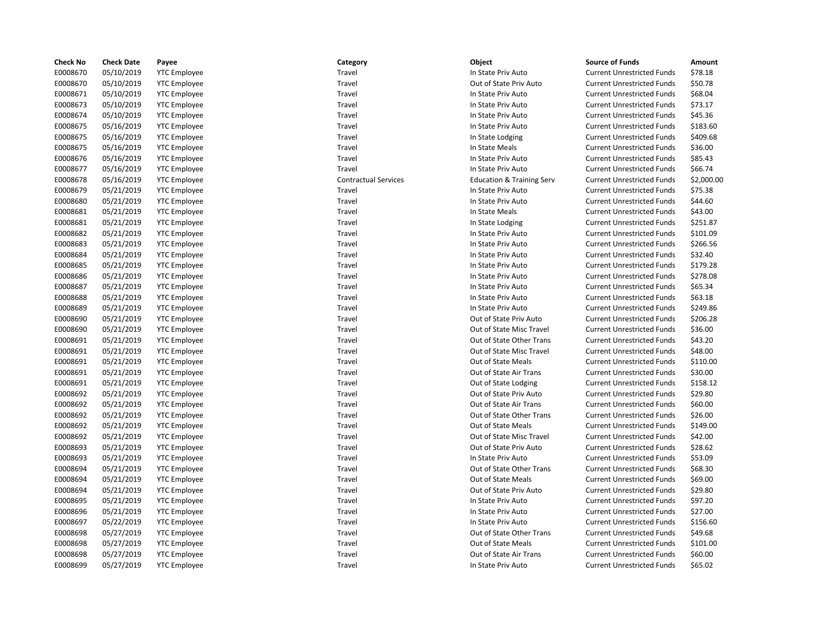| <b>Check No</b> | <b>Check Date</b> | Payee               | Category                    | Object                               | <b>Source of Funds</b>            | Amount    |
|-----------------|-------------------|---------------------|-----------------------------|--------------------------------------|-----------------------------------|-----------|
| E0008670        | 05/10/2019        | <b>YTC Employee</b> | Travel                      | In State Priv Auto                   | <b>Current Unrestricted Funds</b> | \$78.18   |
| E0008670        | 05/10/2019        | <b>YTC Employee</b> | Travel                      | Out of State Priv Auto               | <b>Current Unrestricted Funds</b> | \$50.78   |
| E0008671        | 05/10/2019        | <b>YTC Employee</b> | Travel                      | In State Priv Auto                   | <b>Current Unrestricted Funds</b> | \$68.04   |
| E0008673        | 05/10/2019        | <b>YTC Employee</b> | Travel                      | In State Priv Auto                   | <b>Current Unrestricted Funds</b> | \$73.17   |
| E0008674        | 05/10/2019        | <b>YTC Employee</b> | Travel                      | In State Priv Auto                   | <b>Current Unrestricted Funds</b> | \$45.36   |
| E0008675        | 05/16/2019        | <b>YTC Employee</b> | Travel                      | In State Priv Auto                   | <b>Current Unrestricted Funds</b> | \$183.60  |
| E0008675        | 05/16/2019        | <b>YTC Employee</b> | Travel                      | In State Lodging                     | <b>Current Unrestricted Funds</b> | \$409.68  |
| E0008675        | 05/16/2019        | <b>YTC Employee</b> | Travel                      | In State Meals                       | <b>Current Unrestricted Funds</b> | \$36.00   |
| E0008676        | 05/16/2019        | <b>YTC Employee</b> | Travel                      | In State Priv Auto                   | <b>Current Unrestricted Funds</b> | \$85.43   |
| E0008677        | 05/16/2019        | <b>YTC Employee</b> | Travel                      | In State Priv Auto                   | <b>Current Unrestricted Funds</b> | \$66.74   |
| E0008678        | 05/16/2019        | <b>YTC Employee</b> | <b>Contractual Services</b> | <b>Education &amp; Training Serv</b> | <b>Current Unrestricted Funds</b> | \$2,000.0 |
| E0008679        | 05/21/2019        | <b>YTC Employee</b> | Travel                      | In State Priv Auto                   | <b>Current Unrestricted Funds</b> | \$75.38   |
| E0008680        | 05/21/2019        | <b>YTC Employee</b> | Travel                      | In State Priv Auto                   | <b>Current Unrestricted Funds</b> | \$44.60   |
| E0008681        | 05/21/2019        | <b>YTC Employee</b> | Travel                      | In State Meals                       | <b>Current Unrestricted Funds</b> | \$43.00   |
| E0008681        | 05/21/2019        | <b>YTC Employee</b> | Travel                      | In State Lodging                     | <b>Current Unrestricted Funds</b> | \$251.87  |
| E0008682        | 05/21/2019        | <b>YTC Employee</b> | Travel                      | In State Priv Auto                   | <b>Current Unrestricted Funds</b> | \$101.09  |
| E0008683        | 05/21/2019        | <b>YTC Employee</b> | Travel                      | In State Priv Auto                   | <b>Current Unrestricted Funds</b> | \$266.56  |
| E0008684        | 05/21/2019        | <b>YTC Employee</b> | Travel                      | In State Priv Auto                   | <b>Current Unrestricted Funds</b> | \$32.40   |
| E0008685        | 05/21/2019        | <b>YTC Employee</b> | Travel                      | In State Priv Auto                   | <b>Current Unrestricted Funds</b> | \$179.28  |
| E0008686        | 05/21/2019        | <b>YTC Employee</b> | Travel                      | In State Priv Auto                   | <b>Current Unrestricted Funds</b> | \$278.08  |
| E0008687        | 05/21/2019        | <b>YTC Employee</b> | Travel                      | In State Priv Auto                   | <b>Current Unrestricted Funds</b> | \$65.34   |
| E0008688        | 05/21/2019        | <b>YTC Employee</b> | Travel                      | In State Priv Auto                   | <b>Current Unrestricted Funds</b> | \$63.18   |
| E0008689        | 05/21/2019        | <b>YTC Employee</b> | Travel                      | In State Priv Auto                   | <b>Current Unrestricted Funds</b> | \$249.86  |
| E0008690        | 05/21/2019        | <b>YTC Employee</b> | Travel                      | Out of State Priv Auto               | <b>Current Unrestricted Funds</b> | \$206.28  |
| E0008690        | 05/21/2019        | <b>YTC Employee</b> | Travel                      | Out of State Misc Travel             | <b>Current Unrestricted Funds</b> | \$36.00   |
| E0008691        | 05/21/2019        | <b>YTC Employee</b> | Travel                      | Out of State Other Trans             | <b>Current Unrestricted Funds</b> | \$43.20   |
| E0008691        | 05/21/2019        | <b>YTC Employee</b> | Travel                      | Out of State Misc Travel             | <b>Current Unrestricted Funds</b> | \$48.00   |
| E0008691        | 05/21/2019        | <b>YTC Employee</b> | Travel                      | Out of State Meals                   | <b>Current Unrestricted Funds</b> | \$110.00  |
| E0008691        | 05/21/2019        | <b>YTC Employee</b> | Travel                      | Out of State Air Trans               | <b>Current Unrestricted Funds</b> | \$30.00   |
| E0008691        | 05/21/2019        | <b>YTC Employee</b> | Travel                      | Out of State Lodging                 | <b>Current Unrestricted Funds</b> | \$158.12  |
| E0008692        | 05/21/2019        | <b>YTC Employee</b> | Travel                      | Out of State Priv Auto               | <b>Current Unrestricted Funds</b> | \$29.80   |
| E0008692        | 05/21/2019        | <b>YTC Employee</b> | Travel                      | Out of State Air Trans               | <b>Current Unrestricted Funds</b> | \$60.00   |
| E0008692        | 05/21/2019        | <b>YTC Employee</b> | Travel                      | Out of State Other Trans             | <b>Current Unrestricted Funds</b> | \$26.00   |
| E0008692        | 05/21/2019        | <b>YTC Employee</b> | Travel                      | Out of State Meals                   | <b>Current Unrestricted Funds</b> | \$149.00  |
| E0008692        | 05/21/2019        | <b>YTC Employee</b> | Travel                      | Out of State Misc Travel             | <b>Current Unrestricted Funds</b> | \$42.00   |
| E0008693        | 05/21/2019        | <b>YTC Employee</b> | Travel                      | Out of State Priv Auto               | <b>Current Unrestricted Funds</b> | \$28.62   |
| E0008693        | 05/21/2019        | <b>YTC Employee</b> | Travel                      | In State Priv Auto                   | <b>Current Unrestricted Funds</b> | \$53.09   |
| E0008694        | 05/21/2019        | <b>YTC Employee</b> | Travel                      | Out of State Other Trans             | <b>Current Unrestricted Funds</b> | \$68.30   |
| E0008694        | 05/21/2019        | <b>YTC Employee</b> | Travel                      | Out of State Meals                   | <b>Current Unrestricted Funds</b> | \$69.00   |
| E0008694        | 05/21/2019        | <b>YTC Employee</b> | Travel                      | Out of State Priv Auto               | <b>Current Unrestricted Funds</b> | \$29.80   |
| E0008695        | 05/21/2019        | <b>YTC Employee</b> | Travel                      | In State Priv Auto                   | <b>Current Unrestricted Funds</b> | \$97.20   |
| E0008696        | 05/21/2019        | <b>YTC Employee</b> | Travel                      | In State Priv Auto                   | <b>Current Unrestricted Funds</b> | \$27.00   |
| E0008697        | 05/22/2019        | <b>YTC Employee</b> | Travel                      | In State Priv Auto                   | <b>Current Unrestricted Funds</b> | \$156.60  |
| E0008698        | 05/27/2019        | <b>YTC Employee</b> | Travel                      | Out of State Other Trans             | <b>Current Unrestricted Funds</b> | \$49.68   |
| E0008698        | 05/27/2019        | <b>YTC Employee</b> | Travel                      | Out of State Meals                   | <b>Current Unrestricted Funds</b> | \$101.00  |
| E0008698        | 05/27/2019        | <b>YTC Employee</b> | Travel                      | Out of State Air Trans               | <b>Current Unrestricted Funds</b> | \$60.00   |
| E0008699        | 05/27/2019        | <b>YTC Employee</b> | Travel                      | In State Priv Auto                   | <b>Current Unrestricted Funds</b> | \$65.02   |

| Category           |
|--------------------|
| Travel             |
| Travel             |
| Travel             |
| Travel             |
| Travel             |
| Travel             |
| Travel             |
| Travel             |
| Travel             |
| Travel             |
| Contractual Servic |
| Travel             |
| Travel             |
| Travel             |
| Travel             |
| Travel             |
| Travel             |
| Travel             |
| Travel             |
| Travel             |
| Travel             |
| Travel             |
| Travel             |
| Travel             |
| Travel             |
| Travel             |
|                    |
| Travel             |
| Travel<br>Travel   |
|                    |
| Travel<br>Travel   |
|                    |
| Travel             |
| Travel             |
| Travel             |
| Travel             |
| Travel             |
| Travel             |
| Travel             |
| Travel             |
| Travel             |
| Travel             |
| Travel             |
| Travel             |
| Travel             |
| Travel             |
| Travel             |
| Travel             |

## In State Priv Auto **Current Unrestricted Funds** \$78.18 Out of State Priv Auto **Current Unrestricted Funds** \$50.78 In State Priv Auto **Current Unrestricted Funds** \$68.04 In State Priv Auto **Current Unrestricted Funds** \$73.17 In State Priv Auto **Current Unrestricted Funds** \$45.36 In State Priv Auto **Current Unrestricted Funds** \$183.60 In State Lodging Current Unrestricted Funds \$409.68 In State Meals **EXECUTE:** Current Unrestricted Funds \$36.00 In State Priv Auto **Current Unrestricted Funds** \$85.43 In State Priv Auto **Current Unrestricted Funds** \$66.74 Education & Training Serv Current Unrestricted Funds \$2,000.00 In State Priv Auto **Current Unrestricted Funds** \$75.38 In State Priv Auto **Current Unrestricted Funds** \$44.60 In State Meals **EXECUTE:** Current Unrestricted Funds \$43.00 In State Lodging Current Unrestricted Funds \$251.87 In State Priv Auto **Current Unrestricted Funds** \$266.56 In State Priv Auto **Current Unrestricted Funds** \$32.40 In State Priv Auto **Current Unrestricted Funds** \$179.28 In State Priv Auto **Current Unrestricted Funds** \$278.08 In State Priv Auto **Current Unrestricted Funds** \$65.34 In State Priv Auto **Current Unrestricted Funds** \$63.18 In State Priv Auto **Current Unrestricted Funds** \$249.86 Out of State Priv Auto **Current Unrestricted Funds** \$206.28 Out of State Misc Travel **Current Unrestricted Funds** \$36.00 Out of State Other Trans Current Unrestricted Funds \$43.20 Out of State Misc Travel Current Unrestricted Funds \$48.00 Out of State Meals **Current Unrestricted Funds** \$110.00 Out of State Air Trans Current Unrestricted Funds \$30.00 Out of State Lodging Current Unrestricted Funds \$158.12 Out of State Priv Auto **Current Unrestricted Funds** \$29.80 Out of State Air Trans Current Unrestricted Funds \$60.00 Out of State Other Trans Current Unrestricted Funds \$26.00 Out of State Meals **Current Unrestricted Funds** \$149.00 Out of State Misc Travel Current Unrestricted Funds \$42.00 Out of State Priv Auto Current Unrestricted Funds \$28.62 In State Priv Auto **Current Unrestricted Funds** \$53.09 Out of State Other Trans Current Unrestricted Funds \$68.30 Out of State Meals **Current Unrestricted Funds** \$69.00 Out of State Priv Auto Current Unrestricted Funds \$29.80 In State Priv Auto **Current Unrestricted Funds** \$97.20 In State Priv Auto **Current Unrestricted Funds** \$27.00 In State Priv Auto **Current Unrestricted Funds** \$156.60 Out of State Other Trans Current Unrestricted Funds \$49.68 Out of State Meals **Current Unrestricted Funds** \$101.00 Out of State Air Trans Current Unrestricted Funds \$60.00